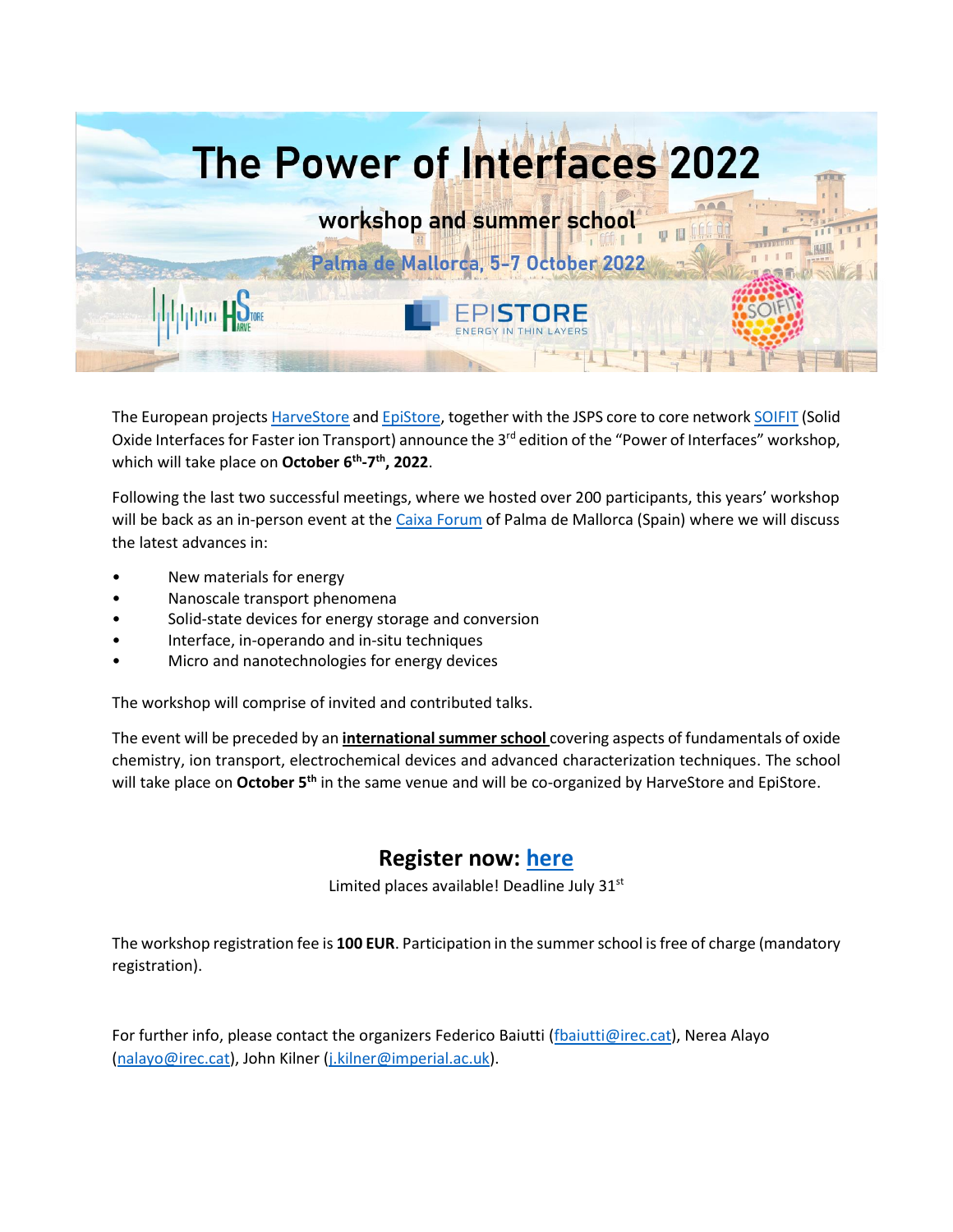

The European project[s HarveStore](https://harvestore.eu/) an[d EpiStore,](https://www.epistore.eu/)) together with the JSPS core to core networ[k SOIFIT](http://www.soifit.net/en/) (Solid Oxide Interfaces for Faster ion Transport) announce the 3<sup>rd</sup> edition of the "Power of Interfaces" workshop, which will take place on **October 6th -7 th, 2022**.

Following the last two successful meetings, where we hosted over 200 participants, this years' workshop will be back as an in-person event at th[e Caixa Forum](https://caixaforum.org/es/palma) of Palma de Mallorca (Spain) where we will discuss the latest advances in:

- New materials for energy
- Nanoscale transport phenomena
- Solid-state devices for energy storage and conversion
- Interface, in-operando and in-situ techniques
- Micro and nanotechnologies for energy devices

The workshop will comprise of invited and contributed talks.

The event will be preceded by an **international summer school** covering aspects of fundamentals of oxide chemistry, ion transport, electrochemical devices and advanced characterization techniques. The school will take place on **October 5th** in the same venue and will be co-organized by HarveStore and EpiStore.

## **Register now: [here](https://forms.gle/okSwZ9cp9zqzZDeX6)**

Limited places available! Deadline July 31<sup>st</sup>

The workshop registration fee is **100 EUR**. Participation in the summer school is free of charge (mandatory registration).

For further info, please contact the organizers Federico Baiutti [\(fbaiutti@irec.cat\)](mailto:fbaiutti@irec.cat), Nerea Alayo [\(nalayo@irec.cat\)](mailto:nalayo@irec.cat), John Kilner [\(j.kilner@imperial.ac.uk\)](mailto:j.kilner@imperial.ac.uk).